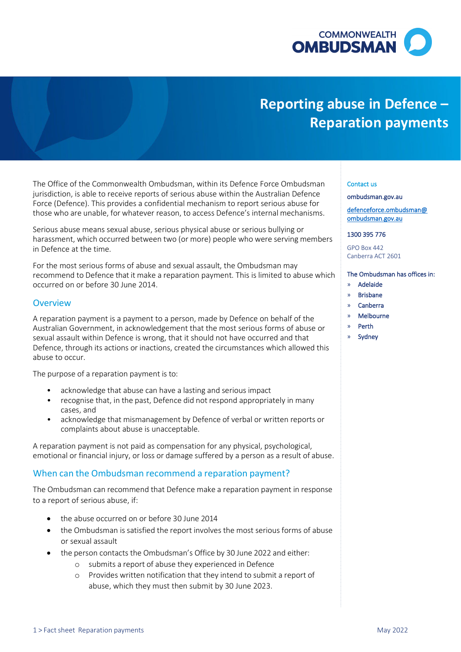

# **Reporting abuse in Defence – Reparation payments**

 The Office of the Commonwealth Ombudsman, within its Defence Force Ombudsman jurisdiction, is able to receive reports of serious abuse within the Australian Defence Force (Defence). This provides a confidential mechanism to report serious abuse for those who are unable, for whatever reason, to access Defence's internal mechanisms.

 harassment, which occurred between two (or more) people who were serving members Serious abuse means sexual abuse, serious physical abuse or serious bullying or in Defence at the time.

 For the most serious forms of abuse and sexual assault, the Ombudsman may recommend to Defence that it make a reparation payment. This is limited to abuse which occurred on or before 30 June 2014.

## **Overview**

 A reparation payment is a payment to a person, made by Defence on behalf of the Australian Government, in acknowledgement that the most serious forms of abuse or Defence, through its actions or inactions, created the circumstances which allowed this sexual assault within Defence is wrong, that it should not have occurred and that abuse to occur.

The purpose of a reparation payment is to:

- acknowledge that abuse can have a lasting and serious impact
- • recognise that, in the past, Defence did not respond appropriately in many cases, and
- • acknowledge that mismanagement by Defence of verbal or written reports or complaints about abuse is unacceptable.

 A reparation payment is not paid as compensation for any physical, psychological, emotional or financial injury, or loss or damage suffered by a person as a result of abuse.

## When can the Ombudsman recommend a reparation payment?

 The Ombudsman can recommend that Defence make a reparation payment in response to a report of serious abuse, if:

- the abuse occurred on or before 30 June 2014
- • the Ombudsman is satisfied the report involves the most serious forms of abuse or sexual assault
- • the person contacts the Ombudsman's Office by 30 June 2022 and either:
	- o submits a report of abuse they experienced in Defence
	- o Provides written notification that they intend to submit a report of abuse, which they must then submit by 30 June 2023.

### Contact us

#### [ombudsman.gov.au](http://www.ombudsman.gov.au/)

[defenceforce.ombudsman@](mailto:defenceforce.ombudsman@ombudsman.gov.au)  [ombudsman.gov.au](mailto:defenceforce.ombudsman@ombudsman.gov.au) 

### 1300 395 776

GPO Box 442 Canberra ACT 2601

## The Ombudsman has offices in:

- » Adelaide
- » Brisbane
- » Canberra
- » Melbourne
- » Perth
- **Sydney**